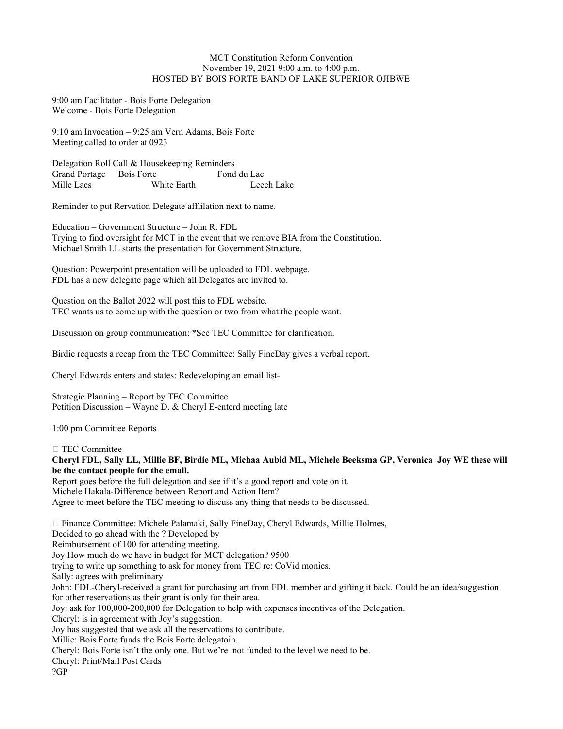## MCT Constitution Reform Convention November 19, 2021 9:00 a.m. to 4:00 p.m. HOSTED BY BOIS FORTE BAND OF LAKE SUPERIOR OJIBWE

9:00 am Facilitator - Bois Forte Delegation Welcome - Bois Forte Delegation

9:10 am Invocation – 9:25 am Vern Adams, Bois Forte Meeting called to order at 0923

Delegation Roll Call & Housekeeping Reminders Grand Portage Bois Forte Fond du Lac Mille Lacs White Earth Leech Lake

Reminder to put Rervation Delegate afflilation next to name.

Education – Government Structure – John R. FDL Trying to find oversight for MCT in the event that we remove BIA from the Constitution. Michael Smith LL starts the presentation for Government Structure.

Question: Powerpoint presentation will be uploaded to FDL webpage. FDL has a new delegate page which all Delegates are invited to.

Question on the Ballot 2022 will post this to FDL website. TEC wants us to come up with the question or two from what the people want.

Discussion on group communication: \*See TEC Committee for clarification.

Birdie requests a recap from the TEC Committee: Sally FineDay gives a verbal report.

Cheryl Edwards enters and states: Redeveloping an email list-

Strategic Planning – Report by TEC Committee Petition Discussion – Wayne D. & Cheryl E-enterd meeting late

1:00 pm Committee Reports

 $\Box$  TEC Committee

Cheryl FDL, Sally LL, Millie BF, Birdie ML, Michaa Aubid ML, Michele Beeksma GP, Veronica Joy WE these will be the contact people for the email.

Report goes before the full delegation and see if it's a good report and vote on it. Michele Hakala-Difference between Report and Action Item? Agree to meet before the TEC meeting to discuss any thing that needs to be discussed.

 Finance Committee: Michele Palamaki, Sally FineDay, Cheryl Edwards, Millie Holmes, Decided to go ahead with the ? Developed by Reimbursement of 100 for attending meeting. Joy How much do we have in budget for MCT delegation? 9500 trying to write up something to ask for money from TEC re: CoVid monies. Sally: agrees with preliminary John: FDL-Cheryl-received a grant for purchasing art from FDL member and gifting it back. Could be an idea/suggestion for other reservations as their grant is only for their area. Joy: ask for 100,000-200,000 for Delegation to help with expenses incentives of the Delegation. Cheryl: is in agreement with Joy's suggestion. Joy has suggested that we ask all the reservations to contribute. Millie: Bois Forte funds the Bois Forte delegatoin. Cheryl: Bois Forte isn't the only one. But we're not funded to the level we need to be. Cheryl: Print/Mail Post Cards ?GP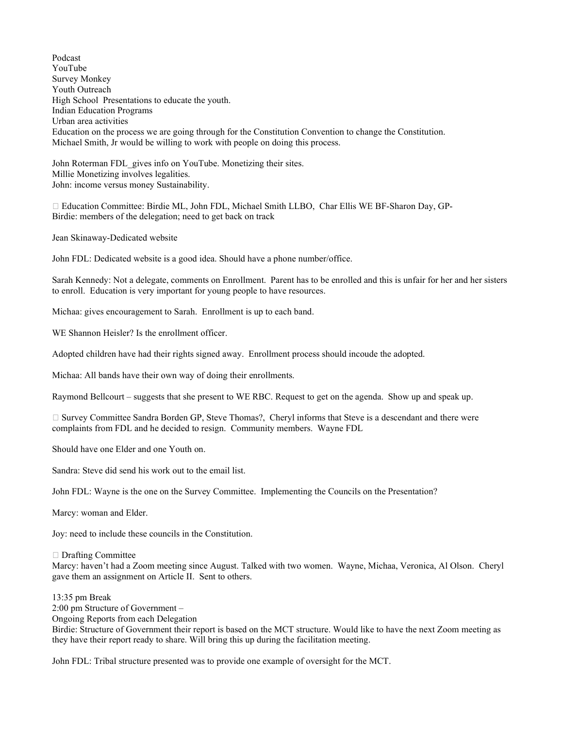Podcast YouTube Survey Monkey Youth Outreach High School Presentations to educate the youth. Indian Education Programs Urban area activities Education on the process we are going through for the Constitution Convention to change the Constitution. Michael Smith, Jr would be willing to work with people on doing this process.

John Roterman FDL gives info on YouTube. Monetizing their sites. Millie Monetizing involves legalities. John: income versus money Sustainability.

 Education Committee: Birdie ML, John FDL, Michael Smith LLBO, Char Ellis WE BF-Sharon Day, GP-Birdie: members of the delegation; need to get back on track

Jean Skinaway-Dedicated website

John FDL: Dedicated website is a good idea. Should have a phone number/office.

Sarah Kennedy: Not a delegate, comments on Enrollment. Parent has to be enrolled and this is unfair for her and her sisters to enroll. Education is very important for young people to have resources.

Michaa: gives encouragement to Sarah. Enrollment is up to each band.

WE Shannon Heisler? Is the enrollment officer.

Adopted children have had their rights signed away. Enrollment process should incoude the adopted.

Michaa: All bands have their own way of doing their enrollments.

Raymond Bellcourt – suggests that she present to WE RBC. Request to get on the agenda. Show up and speak up.

 $\Box$  Survey Committee Sandra Borden GP, Steve Thomas?, Cheryl informs that Steve is a descendant and there were complaints from FDL and he decided to resign. Community members. Wayne FDL

Should have one Elder and one Youth on.

Sandra: Steve did send his work out to the email list.

John FDL: Wayne is the one on the Survey Committee. Implementing the Councils on the Presentation?

Marcy: woman and Elder.

Joy: need to include these councils in the Constitution.

Drafting Committee

Marcy: haven't had a Zoom meeting since August. Talked with two women. Wayne, Michaa, Veronica, Al Olson. Cheryl gave them an assignment on Article II. Sent to others.

13:35 pm Break 2:00 pm Structure of Government – Ongoing Reports from each Delegation Birdie: Structure of Government their report is based on the MCT structure. Would like to have the next Zoom meeting as

they have their report ready to share. Will bring this up during the facilitation meeting.

John FDL: Tribal structure presented was to provide one example of oversight for the MCT.